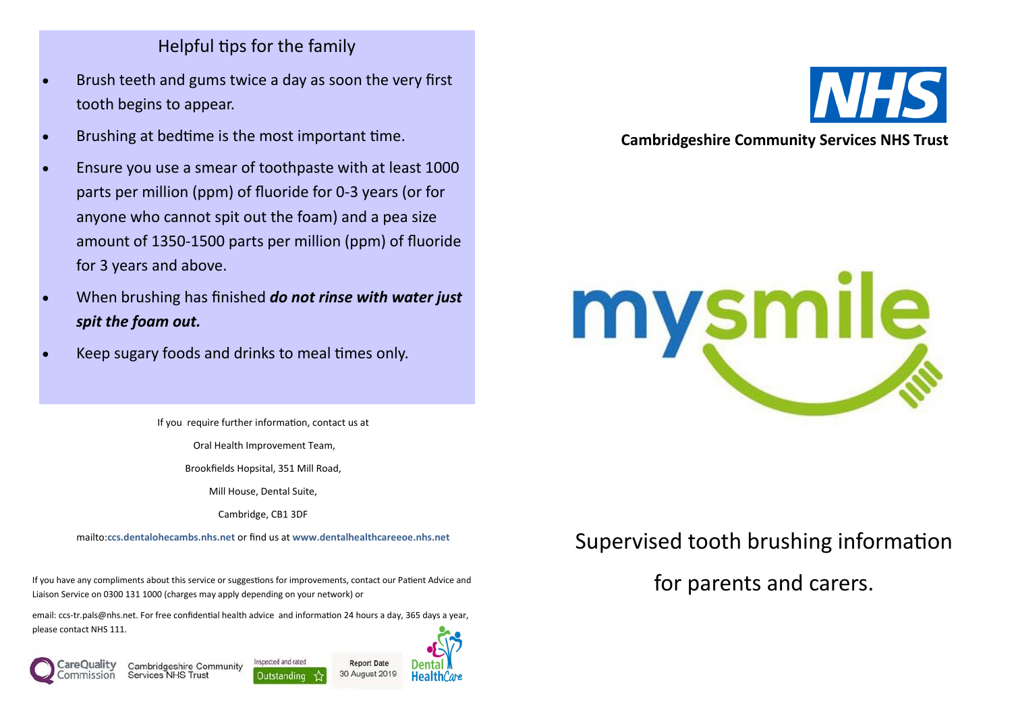## Helpful tips for the family

- Brush teeth and gums twice a day as soon the very first tooth begins to appear.
- Brushing at bedtime is the most important time.
- Ensure you use a smear of toothpaste with at least 1000 parts per million (ppm) of fluoride for 0-3 years (or for anyone who cannot spit out the foam) and a pea size amount of 1350-1500 parts per million (ppm) of fluoride for 3 years and above.
- When brushing has finished *do not rinse with water just spit the foam out.*
- Keep sugary foods and drinks to meal times only.

If you require further information, contact us at

Oral Health Improvement Team,

Brookfields Hopsital, 351 Mill Road,

Mill House, Dental Suite,

Cambridge, CB1 3DF

mailto:**ccs.dentalohecambs.nhs.net** or find us at **www.dentalhealthcareeoe.nhs.net**

If you have any compliments about this service or suggestions for improvements, contact our Patient Advice and Liaison Service on 0300 131 1000 (charges may apply depending on your network) or

email: ccs-tr.pals@nhs.net. For free confidential health advice and information 24 hours a day, 365 days a year, please contact NHS 111.



Inspected and rated Cambridgeshire Community **Services NHS Trust** Qutstanding



**Report Date** 



#### **Cambridgeshire Community Services NHS Trust**



# Supervised tooth brushing information

for parents and carers.